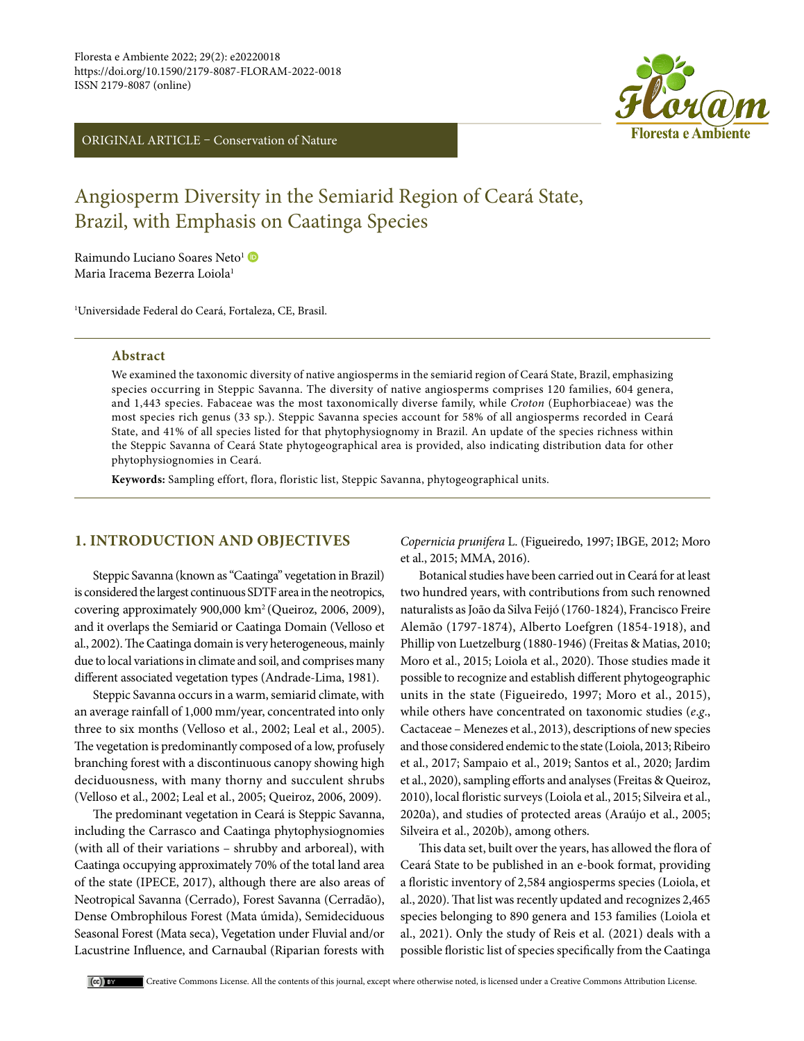ORIGINAL ARTICLE – Conservation of Nature



# Angiosperm Diversity in the Semiarid Region of Ceará State, Brazil, with Emphasis on Caatinga Species

Raimundo Luciano Soares Neto<sup>1</sup> Maria Iracema Bezerra Loiola<sup>1</sup>

1 Universidade Federal do Ceará, Fortaleza, CE, Brasil.

#### **Abstract**

We examined the taxonomic diversity of native angiosperms in the semiarid region of Ceará State, Brazil, emphasizing species occurring in Steppic Savanna. The diversity of native angiosperms comprises 120 families, 604 genera, and 1,443 species. Fabaceae was the most taxonomically diverse family, while *Croton* (Euphorbiaceae) was the most species rich genus (33 sp.). Steppic Savanna species account for 58% of all angiosperms recorded in Ceará State, and 41% of all species listed for that phytophysiognomy in Brazil. An update of the species richness within the Steppic Savanna of Ceará State phytogeographical area is provided, also indicating distribution data for other phytophysiognomies in Ceará.

**Keywords:** Sampling effort, flora, floristic list, Steppic Savanna, phytogeographical units.

# **1. INTRODUCTION AND OBJECTIVES**

Steppic Savanna (known as "Caatinga" vegetation in Brazil) is considered the largest continuous SDTF area in the neotropics, covering approximately 900,000 km2 (Queiroz, 2006, 2009), and it overlaps the Semiarid or Caatinga Domain (Velloso et al., 2002). The Caatinga domain is very heterogeneous, mainly due to local variations in climate and soil, and comprises many different associated vegetation types (Andrade-Lima, 1981).

Steppic Savanna occurs in a warm, semiarid climate, with an average rainfall of 1,000 mm/year, concentrated into only three to six months (Velloso et al., 2002; Leal et al., 2005). The vegetation is predominantly composed of a low, profusely branching forest with a discontinuous canopy showing high deciduousness, with many thorny and succulent shrubs (Velloso et al., 2002; Leal et al., 2005; Queiroz, 2006, 2009).

The predominant vegetation in Ceará is Steppic Savanna, including the Carrasco and Caatinga phytophysiognomies (with all of their variations – shrubby and arboreal), with Caatinga occupying approximately 70% of the total land area of the state (IPECE, 2017), although there are also areas of Neotropical Savanna (Cerrado), Forest Savanna (Cerradão), Dense Ombrophilous Forest (Mata úmida), Semideciduous Seasonal Forest (Mata seca), Vegetation under Fluvial and/or Lacustrine Influence, and Carnaubal (Riparian forests with

*Copernicia prunifera* L. (Figueiredo, 1997; IBGE, 2012; Moro et al., 2015; MMA, 2016).

Botanical studies have been carried out in Ceará for at least two hundred years, with contributions from such renowned naturalists as João da Silva Feijó (1760-1824), Francisco Freire Alemão (1797-1874), Alberto Loefgren (1854-1918), and Phillip von Luetzelburg (1880-1946) (Freitas & Matias, 2010; Moro et al., 2015; Loiola et al., 2020). Those studies made it possible to recognize and establish different phytogeographic units in the state (Figueiredo, 1997; Moro et al., 2015), while others have concentrated on taxonomic studies (*e*.*g*., Cactaceae – Menezes et al., 2013), descriptions of new species and those considered endemic to the state (Loiola, 2013; Ribeiro et al., 2017; Sampaio et al., 2019; Santos et al., 2020; Jardim et al., 2020), sampling efforts and analyses (Freitas & Queiroz, 2010), local floristic surveys (Loiola et al., 2015; Silveira et al., 2020a), and studies of protected areas (Araújo et al., 2005; Silveira et al., 2020b), among others.

This data set, built over the years, has allowed the flora of Ceará State to be published in an e-book format, providing a floristic inventory of 2,584 angiosperms species (Loiola, et al., 2020). That list was recently updated and recognizes 2,465 species belonging to 890 genera and 153 families (Loiola et al., 2021). Only the study of Reis et al. (2021) deals with a possible floristic list of species specifically from the Caatinga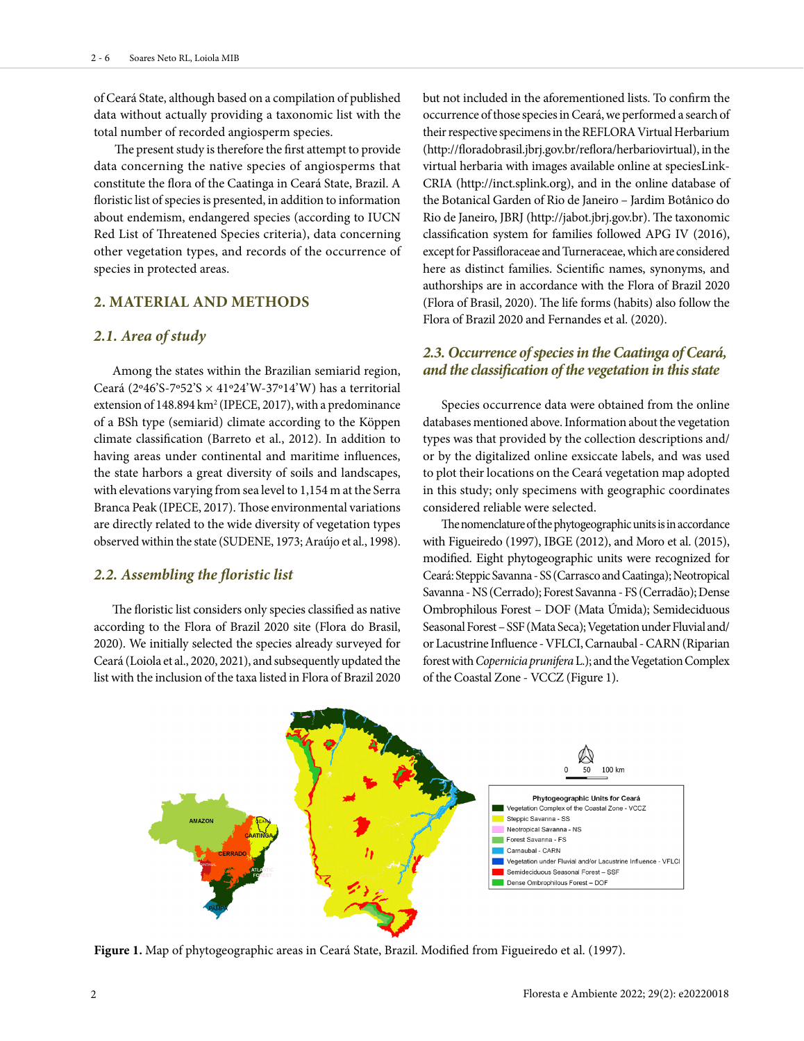of Ceará State, although based on a compilation of published data without actually providing a taxonomic list with the total number of recorded angiosperm species.

 The present study is therefore the first attempt to provide data concerning the native species of angiosperms that constitute the flora of the Caatinga in Ceará State, Brazil. A floristic list of species is presented, in addition to information about endemism, endangered species (according to IUCN Red List of Threatened Species criteria), data concerning other vegetation types, and records of the occurrence of species in protected areas.

## **2. MATERIAL AND METHODS**

### *2.1. Area of study*

Among the states within the Brazilian semiarid region, Ceará (2°46'S-7°52'S  $\times$  41°24'W-37°14'W) has a territorial extension of  $148.894 \mathrm{km^2}$  (IPECE, 2017), with a predominance of a BSh type (semiarid) climate according to the Köppen climate classification (Barreto et al., 2012). In addition to having areas under continental and maritime influences, the state harbors a great diversity of soils and landscapes, with elevations varying from sea level to 1,154 m at the Serra Branca Peak (IPECE, 2017). Those environmental variations are directly related to the wide diversity of vegetation types observed within the state (SUDENE, 1973; Araújo et al., 1998).

### *2.2. Assembling the floristic list*

The floristic list considers only species classified as native according to the Flora of Brazil 2020 site (Flora do Brasil, 2020). We initially selected the species already surveyed for Ceará (Loiola et al., 2020, 2021), and subsequently updated the list with the inclusion of the taxa listed in Flora of Brazil 2020 but not included in the aforementioned lists. To confirm the occurrence of those species in Ceará, we performed a search of their respective specimens in the REFLORA Virtual Herbarium (http://floradobrasil.jbrj.gov.br/reflora/herbariovirtual), in the virtual herbaria with images available online at speciesLink-CRIA (http://inct.splink.org), and in the online database of the Botanical Garden of Rio de Janeiro – Jardim Botânico do Rio de Janeiro, JBRJ (http://jabot.jbrj.gov.br). The taxonomic classification system for families followed APG IV (2016), except for Passifloraceae and Turneraceae, which are considered here as distinct families. Scientific names, synonyms, and authorships are in accordance with the Flora of Brazil 2020 (Flora of Brasil, 2020). The life forms (habits) also follow the Flora of Brazil 2020 and Fernandes et al. (2020).

# *2.3. Occurrence of species in the Caatinga of Ceará, and the classification of the vegetation in this state*

Species occurrence data were obtained from the online databases mentioned above. Information about the vegetation types was that provided by the collection descriptions and/ or by the digitalized online exsiccate labels, and was used to plot their locations on the Ceará vegetation map adopted in this study; only specimens with geographic coordinates considered reliable were selected.

The nomenclature of the phytogeographic units is in accordance with Figueiredo (1997), IBGE (2012), and Moro et al. (2015), modified. Eight phytogeographic units were recognized for Ceará: Steppic Savanna - SS (Carrasco and Caatinga); Neotropical Savanna - NS (Cerrado); Forest Savanna - FS (Cerradão); Dense Ombrophilous Forest – DOF (Mata Úmida); Semideciduous Seasonal Forest – SSF (Mata Seca); Vegetation under Fluvial and/ or Lacustrine Influence - VFLCI, Carnaubal - CARN (Riparian forest with *Copernicia prunifera* L.); and the Vegetation Complex of the Coastal Zone - VCCZ (Figure 1).



**Figure 1.** Map of phytogeographic areas in Ceará State, Brazil. Modified from Figueiredo et al. (1997).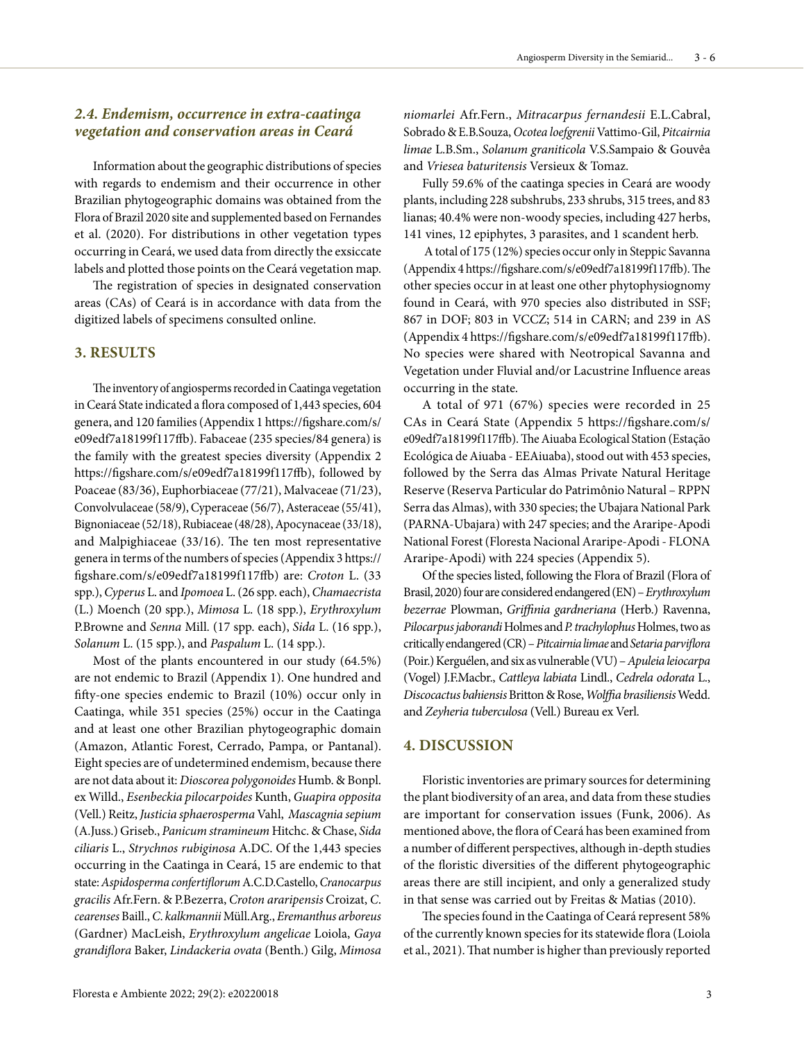# *2.4. Endemism, occurrence in extra-caatinga vegetation and conservation areas in Ceará*

Information about the geographic distributions of species with regards to endemism and their occurrence in other Brazilian phytogeographic domains was obtained from the Flora of Brazil 2020 site and supplemented based on Fernandes et al. (2020). For distributions in other vegetation types occurring in Ceará, we used data from directly the exsiccate labels and plotted those points on the Ceará vegetation map.

The registration of species in designated conservation areas (CAs) of Ceará is in accordance with data from the digitized labels of specimens consulted online.

# **3. RESULTS**

The inventory of angiosperms recorded in Caatinga vegetation in Ceará State indicated a flora composed of 1,443 species, 604 genera, and 120 families (Appendix 1 https://figshare.com/s/ e09edf7a18199f117ffb). Fabaceae (235 species/84 genera) is the family with the greatest species diversity (Appendix 2 https://figshare.com/s/e09edf7a18199f117ffb), followed by Poaceae (83/36), Euphorbiaceae (77/21), Malvaceae (71/23), Convolvulaceae (58/9), Cyperaceae (56/7), Asteraceae (55/41), Bignoniaceae (52/18), Rubiaceae (48/28), Apocynaceae (33/18), and Malpighiaceae (33/16). The ten most representative genera in terms of the numbers of species (Appendix 3 https:// figshare.com/s/e09edf7a18199f117ffb) are: *Croton* L. (33 spp.), *Cyperus* L. and *Ipomoea* L. (26 spp. each), *Chamaecrista*  (L.) Moench (20 spp.), *Mimosa* L. (18 spp.), *Erythroxylum* P.Browne and *Senna* Mill. (17 spp. each), *Sida* L. (16 spp.), *Solanum* L. (15 spp.), and *Paspalum* L. (14 spp.).

Most of the plants encountered in our study (64.5%) are not endemic to Brazil (Appendix 1). One hundred and fifty-one species endemic to Brazil (10%) occur only in Caatinga, while 351 species (25%) occur in the Caatinga and at least one other Brazilian phytogeographic domain (Amazon, Atlantic Forest, Cerrado, Pampa, or Pantanal). Eight species are of undetermined endemism, because there are not data about it: *Dioscorea polygonoides* Humb. & Bonpl. ex Willd., *Esenbeckia pilocarpoides* Kunth, *Guapira opposita* (Vell.) Reitz, *Justicia sphaerosperma* Vahl, *Mascagnia sepium* (A.Juss.) Griseb., *Panicum stramineum* Hitchc. & Chase, *Sida ciliaris* L., *Strychnos rubiginosa* A.DC. Of the 1,443 species occurring in the Caatinga in Ceará, 15 are endemic to that state: *Aspidosperma confertiflorum* A.C.D.Castello, *Cranocarpus gracilis* Afr.Fern. & P.Bezerra, *Croton araripensis* Croizat, *C*. *cearenses* Baill., *C*. *kalkmannii* Müll.Arg., *Eremanthus arboreus*  (Gardner) MacLeish, *Erythroxylum angelicae* Loiola, *Gaya grandiflora* Baker, *Lindackeria ovata* (Benth.) Gilg, *Mimosa* 

Floresta e Ambiente 2022; 29(2): e20220018 3

*niomarlei* Afr.Fern., *Mitracarpus fernandesii* E.L.Cabral, Sobrado & E.B.Souza, *Ocotea loefgrenii* Vattimo-Gil, *Pitcairnia limae* L.B.Sm., *Solanum graniticola* V.S.Sampaio & Gouvêa and *Vriesea baturitensis* Versieux & Tomaz.

Fully 59.6% of the caatinga species in Ceará are woody plants, including 228 subshrubs, 233 shrubs, 315 trees, and 83 lianas; 40.4% were non-woody species, including 427 herbs, 141 vines, 12 epiphytes, 3 parasites, and 1 scandent herb.

 A total of 175 (12%) species occur only in Steppic Savanna (Appendix 4 https://figshare.com/s/e09edf7a18199f117ffb). The other species occur in at least one other phytophysiognomy found in Ceará, with 970 species also distributed in SSF; 867 in DOF; 803 in VCCZ; 514 in CARN; and 239 in AS (Appendix 4 https://figshare.com/s/e09edf7a18199f117ffb). No species were shared with Neotropical Savanna and Vegetation under Fluvial and/or Lacustrine Influence areas occurring in the state.

A total of 971 (67%) species were recorded in 25 CAs in Ceará State (Appendix 5 https://figshare.com/s/ e09edf7a18199f117ffb). The Aiuaba Ecological Station (Estação Ecológica de Aiuaba - EEAiuaba), stood out with 453 species, followed by the Serra das Almas Private Natural Heritage Reserve (Reserva Particular do Patrimônio Natural – RPPN Serra das Almas), with 330 species; the Ubajara National Park (PARNA-Ubajara) with 247 species; and the Araripe-Apodi National Forest (Floresta Nacional Araripe-Apodi - FLONA Araripe-Apodi) with 224 species (Appendix 5).

Of the species listed, following the Flora of Brazil (Flora of Brasil, 2020) four are considered endangered (EN) – *Erythroxylum bezerrae* Plowman, *Griffinia gardneriana* (Herb.) Ravenna, *Pilocarpus jaborandi* Holmes and *P. trachylophus* Holmes, two as critically endangered (CR) – *Pitcairnia limae* and *Setaria parviflora*  (Poir.) Kerguélen, and six as vulnerable (VU) – *Apuleia leiocarpa*  (Vogel) J.F.Macbr., *Cattleya labiata* Lindl., *Cedrela odorata* L., *Discocactus bahiensis* Britton & Rose, *Wolffia brasiliensis* Wedd. and *Zeyheria tuberculosa* (Vell.) Bureau ex Verl.

## **4. DISCUSSION**

Floristic inventories are primary sources for determining the plant biodiversity of an area, and data from these studies are important for conservation issues (Funk, 2006). As mentioned above, the flora of Ceará has been examined from a number of different perspectives, although in-depth studies of the floristic diversities of the different phytogeographic areas there are still incipient, and only a generalized study in that sense was carried out by Freitas & Matias (2010).

The species found in the Caatinga of Ceará represent 58% of the currently known species for its statewide flora (Loiola et al., 2021). That number is higher than previously reported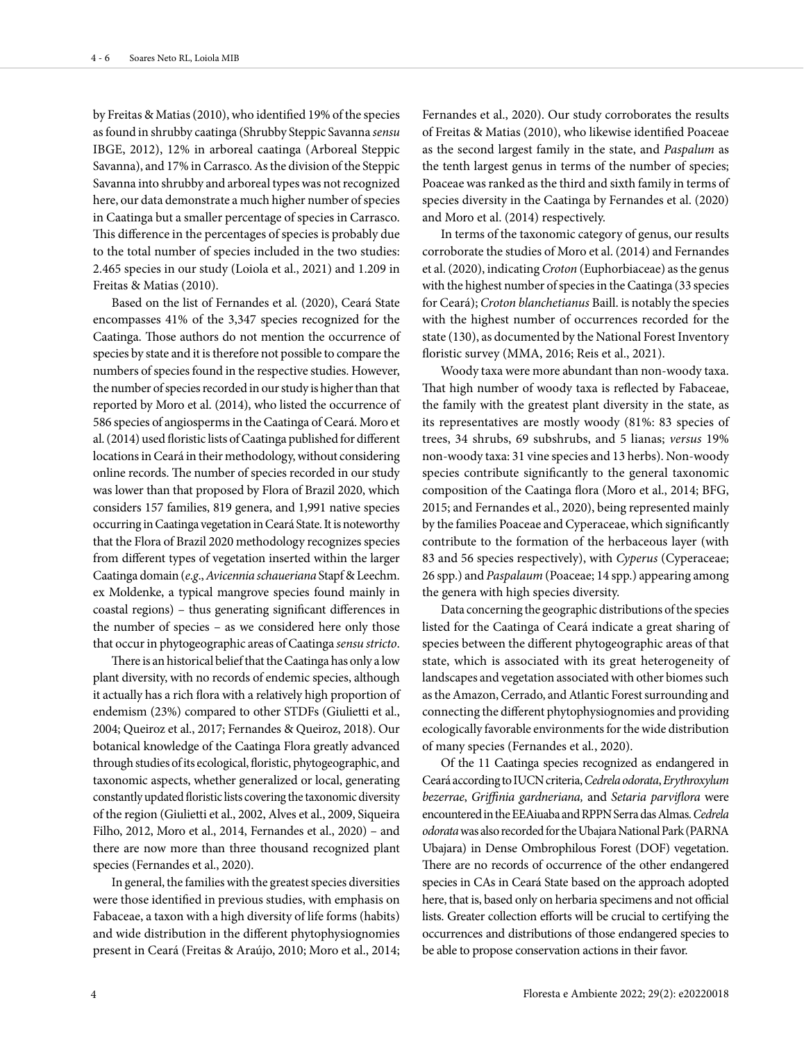by Freitas & Matias (2010), who identified 19% of the species as found in shrubby caatinga (Shrubby Steppic Savanna *sensu* IBGE, 2012), 12% in arboreal caatinga (Arboreal Steppic Savanna), and 17% in Carrasco. As the division of the Steppic Savanna into shrubby and arboreal types was not recognized here, our data demonstrate a much higher number of species in Caatinga but a smaller percentage of species in Carrasco. This difference in the percentages of species is probably due to the total number of species included in the two studies: 2.465 species in our study (Loiola et al., 2021) and 1.209 in Freitas & Matias (2010).

Based on the list of Fernandes et al. (2020), Ceará State encompasses 41% of the 3,347 species recognized for the Caatinga. Those authors do not mention the occurrence of species by state and it is therefore not possible to compare the numbers of species found in the respective studies. However, the number of species recorded in our study is higher than that reported by Moro et al. (2014), who listed the occurrence of 586 species of angiosperms in the Caatinga of Ceará. Moro et al. (2014) used floristic lists of Caatinga published for different locations in Ceará in their methodology, without considering online records. The number of species recorded in our study was lower than that proposed by Flora of Brazil 2020, which considers 157 families, 819 genera, and 1,991 native species occurring in Caatinga vegetation in Ceará State. It is noteworthy that the Flora of Brazil 2020 methodology recognizes species from different types of vegetation inserted within the larger Caatinga domain (*e*.*g*., *Avicennia schaueriana* Stapf & Leechm. ex Moldenke, a typical mangrove species found mainly in coastal regions) – thus generating significant differences in the number of species – as we considered here only those that occur in phytogeographic areas of Caatinga *sensu stricto*.

There is an historical belief that the Caatinga has only a low plant diversity, with no records of endemic species, although it actually has a rich flora with a relatively high proportion of endemism (23%) compared to other STDFs (Giulietti et al., 2004; Queiroz et al., 2017; Fernandes & Queiroz, 2018). Our botanical knowledge of the Caatinga Flora greatly advanced through studies of its ecological, floristic, phytogeographic, and taxonomic aspects, whether generalized or local, generating constantly updated floristic lists covering the taxonomic diversity of the region (Giulietti et al., 2002, Alves et al., 2009, Siqueira Filho, 2012, Moro et al., 2014, Fernandes et al., 2020) – and there are now more than three thousand recognized plant species (Fernandes et al., 2020).

In general, the families with the greatest species diversities were those identified in previous studies, with emphasis on Fabaceae, a taxon with a high diversity of life forms (habits) and wide distribution in the different phytophysiognomies present in Ceará (Freitas & Araújo, 2010; Moro et al., 2014;

Fernandes et al., 2020). Our study corroborates the results of Freitas & Matias (2010), who likewise identified Poaceae as the second largest family in the state, and *Paspalum* as the tenth largest genus in terms of the number of species; Poaceae was ranked as the third and sixth family in terms of species diversity in the Caatinga by Fernandes et al. (2020) and Moro et al. (2014) respectively.

In terms of the taxonomic category of genus, our results corroborate the studies of Moro et al. (2014) and Fernandes et al. (2020), indicating *Croton* (Euphorbiaceae) as the genus with the highest number of species in the Caatinga (33 species for Ceará); *Croton blanchetianus* Baill. is notably the species with the highest number of occurrences recorded for the state (130), as documented by the National Forest Inventory floristic survey (MMA, 2016; Reis et al., 2021).

Woody taxa were more abundant than non-woody taxa. That high number of woody taxa is reflected by Fabaceae, the family with the greatest plant diversity in the state, as its representatives are mostly woody (81%: 83 species of trees, 34 shrubs, 69 subshrubs, and 5 lianas; *versus* 19% non-woody taxa: 31 vine species and 13 herbs). Non-woody species contribute significantly to the general taxonomic composition of the Caatinga flora (Moro et al., 2014; BFG, 2015; and Fernandes et al., 2020), being represented mainly by the families Poaceae and Cyperaceae, which significantly contribute to the formation of the herbaceous layer (with 83 and 56 species respectively), with *Cyperus* (Cyperaceae; 26 spp.) and *Paspalaum* (Poaceae; 14 spp.) appearing among the genera with high species diversity.

Data concerning the geographic distributions of the species listed for the Caatinga of Ceará indicate a great sharing of species between the different phytogeographic areas of that state, which is associated with its great heterogeneity of landscapes and vegetation associated with other biomes such as the Amazon, Cerrado, and Atlantic Forest surrounding and connecting the different phytophysiognomies and providing ecologically favorable environments for the wide distribution of many species (Fernandes et al*.*, 2020).

Of the 11 Caatinga species recognized as endangered in Ceará according to IUCN criteria, *Cedrela odorata*, *Erythroxylum bezerrae*, *Griffinia gardneriana,* and *Setaria parviflora* were encountered in the EEAiuaba and RPPN Serra das Almas. *Cedrela odorata* was also recorded for the Ubajara National Park (PARNA Ubajara) in Dense Ombrophilous Forest (DOF) vegetation. There are no records of occurrence of the other endangered species in CAs in Ceará State based on the approach adopted here, that is, based only on herbaria specimens and not official lists. Greater collection efforts will be crucial to certifying the occurrences and distributions of those endangered species to be able to propose conservation actions in their favor.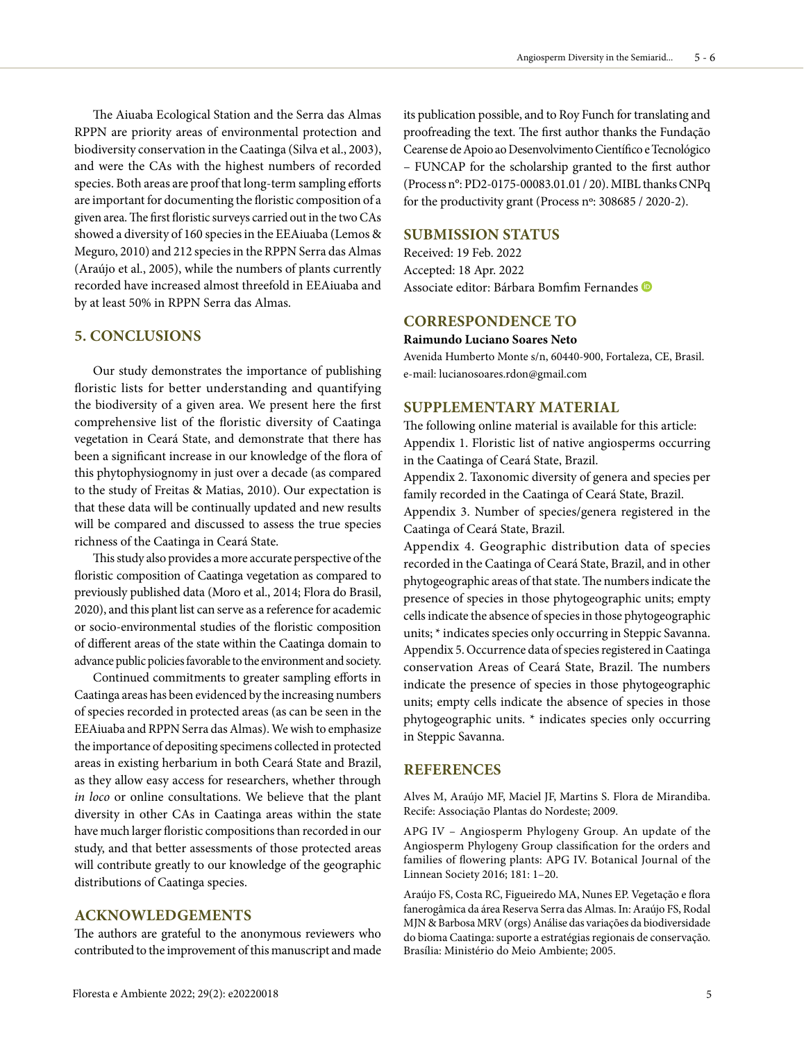The Aiuaba Ecological Station and the Serra das Almas RPPN are priority areas of environmental protection and biodiversity conservation in the Caatinga (Silva et al., 2003), and were the CAs with the highest numbers of recorded species. Both areas are proof that long-term sampling efforts are important for documenting the floristic composition of a given area. The first floristic surveys carried out in the two CAs showed a diversity of 160 species in the EEAiuaba (Lemos & Meguro, 2010) and 212 species in the RPPN Serra das Almas (Araújo et al., 2005), while the numbers of plants currently recorded have increased almost threefold in EEAiuaba and by at least 50% in RPPN Serra das Almas.

## **5. CONCLUSIONS**

Our study demonstrates the importance of publishing floristic lists for better understanding and quantifying the biodiversity of a given area. We present here the first comprehensive list of the floristic diversity of Caatinga vegetation in Ceará State, and demonstrate that there has been a significant increase in our knowledge of the flora of this phytophysiognomy in just over a decade (as compared to the study of Freitas & Matias, 2010). Our expectation is that these data will be continually updated and new results will be compared and discussed to assess the true species richness of the Caatinga in Ceará State.

This study also provides a more accurate perspective of the floristic composition of Caatinga vegetation as compared to previously published data (Moro et al., 2014; Flora do Brasil, 2020), and this plant list can serve as a reference for academic or socio-environmental studies of the floristic composition of different areas of the state within the Caatinga domain to advance public policies favorable to the environment and society.

Continued commitments to greater sampling efforts in Caatinga areas has been evidenced by the increasing numbers of species recorded in protected areas (as can be seen in the EEAiuaba and RPPN Serra das Almas). We wish to emphasize the importance of depositing specimens collected in protected areas in existing herbarium in both Ceará State and Brazil, as they allow easy access for researchers, whether through *in loco* or online consultations. We believe that the plant diversity in other CAs in Caatinga areas within the state have much larger floristic compositions than recorded in our study, and that better assessments of those protected areas will contribute greatly to our knowledge of the geographic distributions of Caatinga species.

# **ACKNOWLEDGEMENTS**

The authors are grateful to the anonymous reviewers who contributed to the improvement of this manuscript and made its publication possible, and to Roy Funch for translating and proofreading the text. The first author thanks the Fundação Cearense de Apoio ao Desenvolvimento Científico e Tecnológico – FUNCAP for the scholarship granted to the first author (Process n°: PD2-0175-00083.01.01 / 20). MIBL thanks CNPq for the productivity grant (Process nº: 308685 / 2020-2).

# **SUBMISSION STATUS**

Received: 19 Feb. 2022 Accepted: 18 Apr. 2022 Associate editor: Bárbara Bomfim Fernandes

# **CORRESPONDENCE TO**

#### **Raimundo Luciano Soares Neto**

Avenida Humberto Monte s/n, 60440-900, Fortaleza, CE, Brasil. e-mail: lucianosoares.rdon@gmail.com

## **SUPPLEMENTARY MATERIAL**

The following online material is available for this article: Appendix 1. Floristic list of native angiosperms occurring in the Caatinga of Ceará State, Brazil.

Appendix 2. Taxonomic diversity of genera and species per family recorded in the Caatinga of Ceará State, Brazil. Appendix 3. Number of species/genera registered in the Caatinga of Ceará State, Brazil.

Appendix 4. Geographic distribution data of species recorded in the Caatinga of Ceará State, Brazil, and in other phytogeographic areas of that state. The numbers indicate the presence of species in those phytogeographic units; empty cells indicate the absence of species in those phytogeographic units; \* indicates species only occurring in Steppic Savanna. Appendix 5. Occurrence data of species registered in Caatinga conservation Areas of Ceará State, Brazil. The numbers indicate the presence of species in those phytogeographic units; empty cells indicate the absence of species in those phytogeographic units. \* indicates species only occurring in Steppic Savanna.

#### **REFERENCES**

Alves M, Araújo MF, Maciel JF, Martins S. Flora de Mirandiba. Recife: Associação Plantas do Nordeste; 2009.

APG IV – Angiosperm Phylogeny Group. An update of the Angiosperm Phylogeny Group classification for the orders and families of flowering plants: APG IV. Botanical Journal of the Linnean Society 2016; 181: 1–20.

Araújo FS, Costa RC, Figueiredo MA, Nunes EP. Vegetação e flora fanerogâmica da área Reserva Serra das Almas. In: Araújo FS, Rodal MJN & Barbosa MRV (orgs) Análise das variações da biodiversidade do bioma Caatinga: suporte a estratégias regionais de conservação. Brasília: Ministério do Meio Ambiente; 2005.